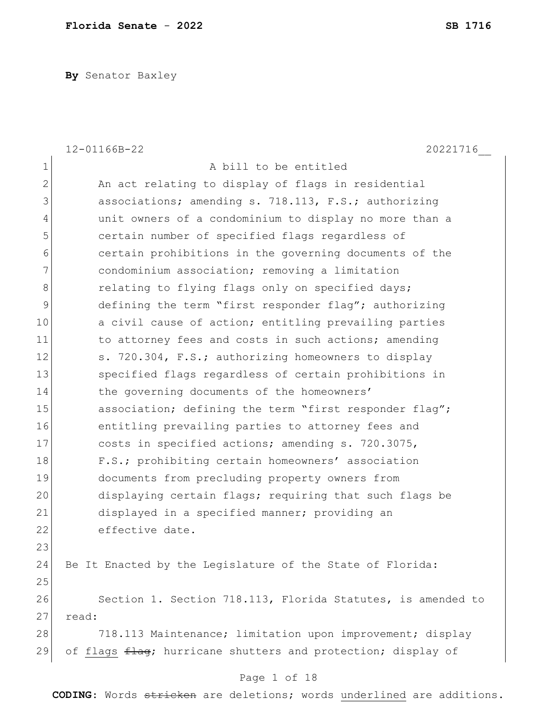**By** Senator Baxley

|                | 12-01166B-22<br>20221716                                     |
|----------------|--------------------------------------------------------------|
| $\mathbf 1$    | A bill to be entitled                                        |
| $\overline{2}$ | An act relating to display of flags in residential           |
| 3              | associations; amending s. 718.113, F.S.; authorizing         |
| $\overline{4}$ | unit owners of a condominium to display no more than a       |
| 5              | certain number of specified flags regardless of              |
| $\sqrt{6}$     | certain prohibitions in the governing documents of the       |
| $\overline{7}$ | condominium association; removing a limitation               |
| $\,8\,$        | relating to flying flags only on specified days;             |
| $\mathcal{G}$  | defining the term "first responder flag"; authorizing        |
| 10             | a civil cause of action; entitling prevailing parties        |
| 11             | to attorney fees and costs in such actions; amending         |
| 12             | s. 720.304, F.S.; authorizing homeowners to display          |
| 13             | specified flags regardless of certain prohibitions in        |
| 14             | the governing documents of the homeowners'                   |
| 15             | association; defining the term "first responder flag";       |
| 16             | entitling prevailing parties to attorney fees and            |
| 17             | costs in specified actions; amending s. 720.3075,            |
| 18             | F.S.; prohibiting certain homeowners' association            |
| 19             | documents from precluding property owners from               |
| 20             | displaying certain flags; requiring that such flags be       |
| 21             | displayed in a specified manner; providing an                |
| 22             | effective date.                                              |
| 23             |                                                              |
| 24             | Be It Enacted by the Legislature of the State of Florida:    |
| 25             |                                                              |
| 26             | Section 1. Section 718.113, Florida Statutes, is amended to  |
| 27             | read:                                                        |
| 28             | 718.113 Maintenance; limitation upon improvement; display    |
| 29             | of flags flag; hurricane shutters and protection; display of |
|                |                                                              |

## Page 1 of 18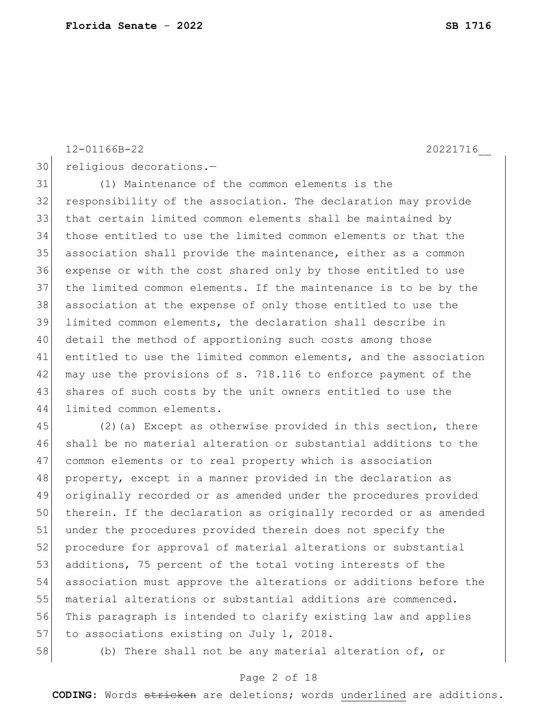12-01166B-22 20221716\_\_

30 religious decorations.-

 (1) Maintenance of the common elements is the responsibility of the association. The declaration may provide that certain limited common elements shall be maintained by those entitled to use the limited common elements or that the association shall provide the maintenance, either as a common expense or with the cost shared only by those entitled to use the limited common elements. If the maintenance is to be by the association at the expense of only those entitled to use the limited common elements, the declaration shall describe in 40 detail the method of apportioning such costs among those entitled to use the limited common elements, and the association 42 may use the provisions of s. 718.116 to enforce payment of the 43 shares of such costs by the unit owners entitled to use the limited common elements.

 (2)(a) Except as otherwise provided in this section, there shall be no material alteration or substantial additions to the common elements or to real property which is association property, except in a manner provided in the declaration as originally recorded or as amended under the procedures provided 50 therein. If the declaration as originally recorded or as amended under the procedures provided therein does not specify the 52 procedure for approval of material alterations or substantial 53 additions, 75 percent of the total voting interests of the association must approve the alterations or additions before the material alterations or substantial additions are commenced. This paragraph is intended to clarify existing law and applies 57 to associations existing on July 1, 2018.

58 (b) There shall not be any material alteration of, or

### Page 2 of 18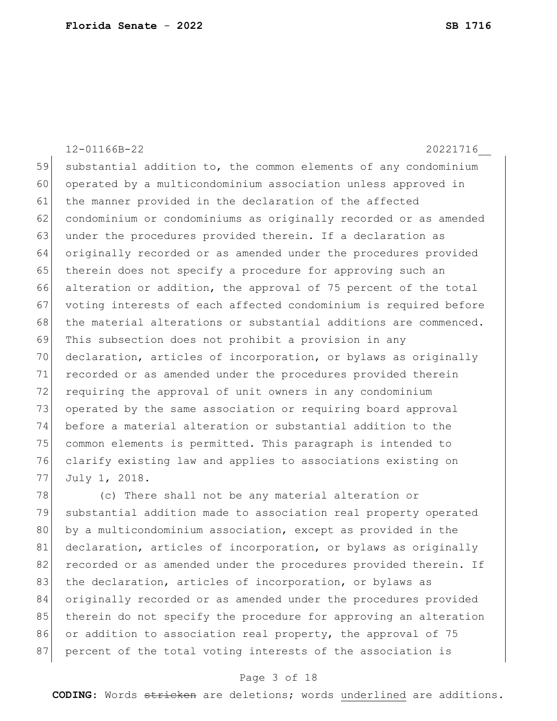12-01166B-22 20221716\_\_ 59 substantial addition to, the common elements of any condominium 60 operated by a multicondominium association unless approved in 61 the manner provided in the declaration of the affected 62 condominium or condominiums as originally recorded or as amended 63 under the procedures provided therein. If a declaration as 64 originally recorded or as amended under the procedures provided 65 therein does not specify a procedure for approving such an 66 alteration or addition, the approval of 75 percent of the total 67 voting interests of each affected condominium is required before 68 the material alterations or substantial additions are commenced. 69 This subsection does not prohibit a provision in any 70 declaration, articles of incorporation, or bylaws as originally 71 recorded or as amended under the procedures provided therein 72 requiring the approval of unit owners in any condominium 73 operated by the same association or requiring board approval 74 before a material alteration or substantial addition to the 75 common elements is permitted. This paragraph is intended to 76 clarify existing law and applies to associations existing on 77 July 1, 2018.

78 (c) There shall not be any material alteration or 79 substantial addition made to association real property operated 80 by a multicondominium association, except as provided in the 81 declaration, articles of incorporation, or bylaws as originally 82 recorded or as amended under the procedures provided therein. If 83 the declaration, articles of incorporation, or bylaws as 84 originally recorded or as amended under the procedures provided 85 therein do not specify the procedure for approving an alteration 86 or addition to association real property, the approval of 75 87 percent of the total voting interests of the association is

### Page 3 of 18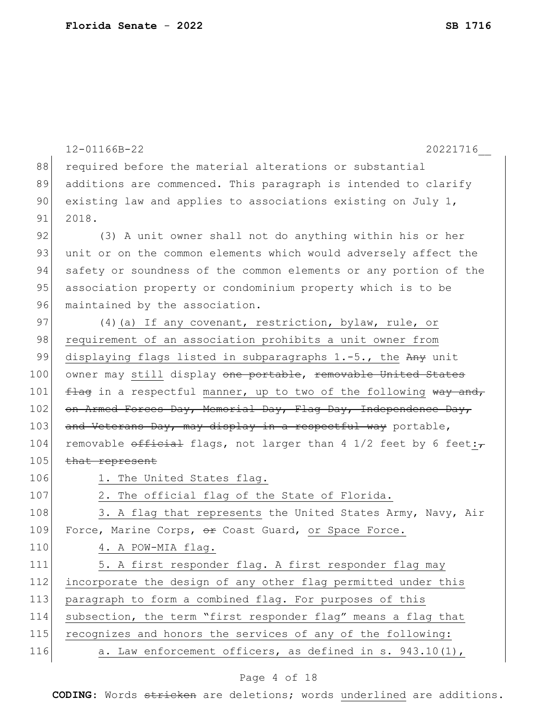| 12-01166B-22<br>20221716                                                 |
|--------------------------------------------------------------------------|
| required before the material alterations or substantial                  |
| additions are commenced. This paragraph is intended to clarify           |
| existing law and applies to associations existing on July 1,             |
| 2018.                                                                    |
| (3) A unit owner shall not do anything within his or her                 |
| unit or on the common elements which would adversely affect the          |
| safety or soundness of the common elements or any portion of the         |
| association property or condominium property which is to be              |
| maintained by the association.                                           |
| (4) (a) If any covenant, restriction, bylaw, rule, or                    |
| requirement of an association prohibits a unit owner from                |
| displaying flags listed in subparagraphs 1.-5., the Any unit             |
| owner may still display <del>one portable, removable United States</del> |
| flag in a respectful manner, up to two of the following way and,         |
| on Armed Forces Day, Memorial Day, Flag Day, Independence Day,           |
| and Veterans Day, may display in a respectful way portable,              |
| removable official flags, not larger than 4 1/2 feet by 6 feet:          |
| that represent                                                           |
| 1. The United States flag.                                               |
| 2. The official flag of the State of Florida.                            |
| 3. A flag that represents the United States Army, Navy, Air              |
| Force, Marine Corps, or Coast Guard, or Space Force.                     |
| 4. A POW-MIA flag.                                                       |
| 5. A first responder flag. A first responder flag may                    |
| incorporate the design of any other flag permitted under this            |
| paragraph to form a combined flag. For purposes of this                  |
| subsection, the term "first responder flag" means a flag that            |
| recognizes and honors the services of any of the following:              |
| a. Law enforcement officers, as defined in s. 943.10(1),                 |
|                                                                          |

# Page 4 of 18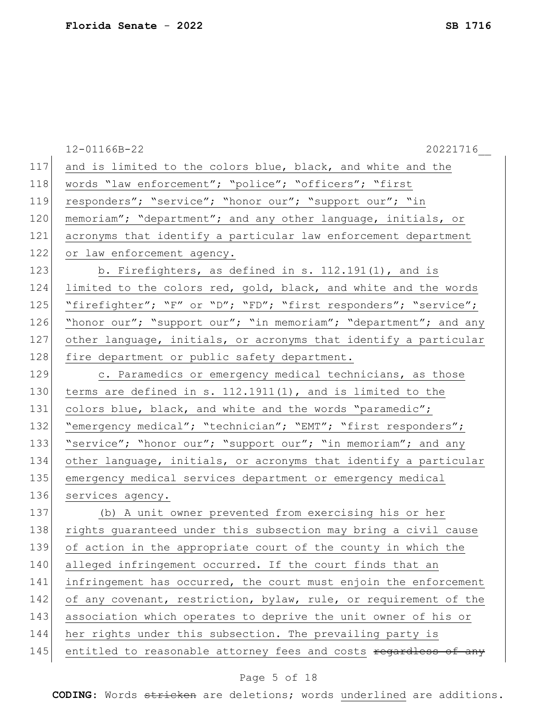|     | 20221716<br>12-01166B-22                                         |
|-----|------------------------------------------------------------------|
| 117 | and is limited to the colors blue, black, and white and the      |
| 118 | words "law enforcement"; "police"; "officers"; "first            |
| 119 | responders"; "service"; "honor our"; "support our"; "in          |
| 120 | memoriam"; "department"; and any other language, initials, or    |
| 121 | acronyms that identify a particular law enforcement department   |
| 122 | or law enforcement agency.                                       |
| 123 | b. Firefighters, as defined in s. 112.191(1), and is             |
| 124 | limited to the colors red, gold, black, and white and the words  |
| 125 | "firefighter"; "F" or "D"; "FD"; "first responders"; "service";  |
| 126 | "honor our"; "support our"; "in memoriam"; "department"; and any |
| 127 | other language, initials, or acronyms that identify a particular |
| 128 | fire department or public safety department.                     |
| 129 | c. Paramedics or emergency medical technicians, as those         |
| 130 | terms are defined in s. 112.1911(1), and is limited to the       |
| 131 | colors blue, black, and white and the words "paramedic";         |
| 132 | "emergency medical"; "technician"; "EMT"; "first responders";    |
| 133 | "service"; "honor our"; "support our"; "in memoriam"; and any    |
| 134 | other language, initials, or acronyms that identify a particular |
| 135 | emergency medical services department or emergency medical       |
| 136 | services agency.                                                 |
| 137 | (b) A unit owner prevented from exercising his or her            |
| 138 | rights guaranteed under this subsection may bring a civil cause  |
| 139 | of action in the appropriate court of the county in which the    |
| 140 | alleged infringement occurred. If the court finds that an        |
| 141 | infringement has occurred, the court must enjoin the enforcement |
| 142 | of any covenant, restriction, bylaw, rule, or requirement of the |
| 143 | association which operates to deprive the unit owner of his or   |
| 144 | her rights under this subsection. The prevailing party is        |
| 145 | entitled to reasonable attorney fees and costs regardless of any |
|     |                                                                  |

# Page 5 of 18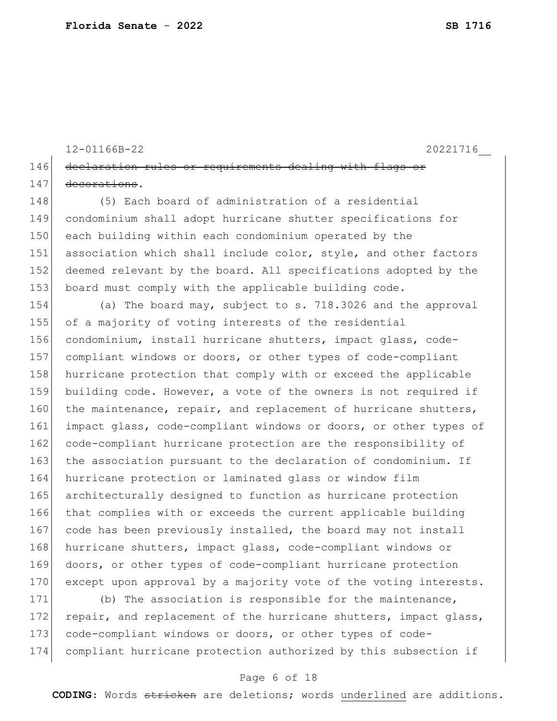```
12-01166B-22 20221716__
146 declaration rules or requirements dealing with flags or
147 decorations.
```
 (5) Each board of administration of a residential condominium shall adopt hurricane shutter specifications for each building within each condominium operated by the 151 association which shall include color, style, and other factors 152 deemed relevant by the board. All specifications adopted by the board must comply with the applicable building code.

154 (a) The board may, subject to s. 718.3026 and the approval 155 of a majority of voting interests of the residential 156 condominium, install hurricane shutters, impact glass, code-157 compliant windows or doors, or other types of code-compliant 158 hurricane protection that comply with or exceed the applicable 159 building code. However, a vote of the owners is not required if 160 the maintenance, repair, and replacement of hurricane shutters, 161 impact glass, code-compliant windows or doors, or other types of 162 code-compliant hurricane protection are the responsibility of 163 the association pursuant to the declaration of condominium. If 164 hurricane protection or laminated glass or window film 165 architecturally designed to function as hurricane protection 166 that complies with or exceeds the current applicable building 167 code has been previously installed, the board may not install 168 hurricane shutters, impact glass, code-compliant windows or 169 doors, or other types of code-compliant hurricane protection 170 except upon approval by a majority vote of the voting interests.

171 (b) The association is responsible for the maintenance, 172 repair, and replacement of the hurricane shutters, impact glass, 173 code-compliant windows or doors, or other types of code-174 compliant hurricane protection authorized by this subsection if

### Page 6 of 18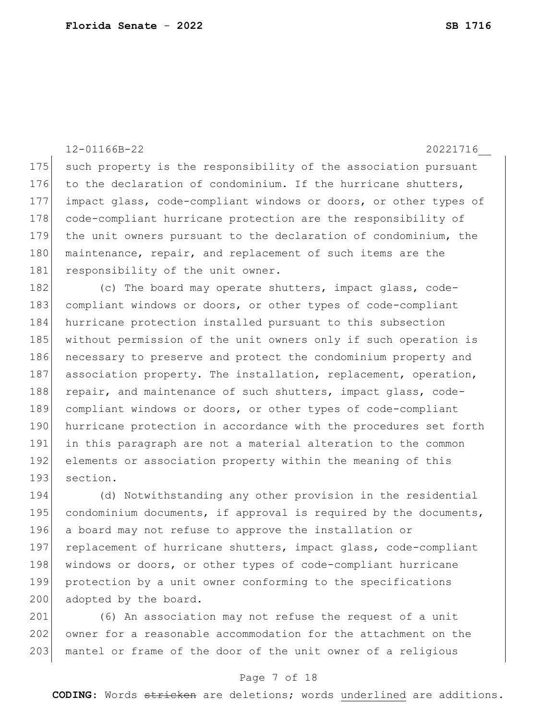12-01166B-22 20221716\_\_

175 such property is the responsibility of the association pursuant 176 to the declaration of condominium. If the hurricane shutters, 177 impact glass, code-compliant windows or doors, or other types of 178 code-compliant hurricane protection are the responsibility of 179 the unit owners pursuant to the declaration of condominium, the 180 maintenance, repair, and replacement of such items are the 181 responsibility of the unit owner.

182 (c) The board may operate shutters, impact glass, code-183 compliant windows or doors, or other types of code-compliant 184 hurricane protection installed pursuant to this subsection 185 without permission of the unit owners only if such operation is 186 necessary to preserve and protect the condominium property and 187 association property. The installation, replacement, operation, 188 repair, and maintenance of such shutters, impact glass, code-189 compliant windows or doors, or other types of code-compliant 190 hurricane protection in accordance with the procedures set forth 191 in this paragraph are not a material alteration to the common 192 elements or association property within the meaning of this 193 section.

194 (d) Notwithstanding any other provision in the residential 195 condominium documents, if approval is required by the documents, 196 a board may not refuse to approve the installation or 197 replacement of hurricane shutters, impact glass, code-compliant 198 windows or doors, or other types of code-compliant hurricane 199 protection by a unit owner conforming to the specifications 200 adopted by the board.

201 (6) An association may not refuse the request of a unit 202 owner for a reasonable accommodation for the attachment on the 203 mantel or frame of the door of the unit owner of a religious

### Page 7 of 18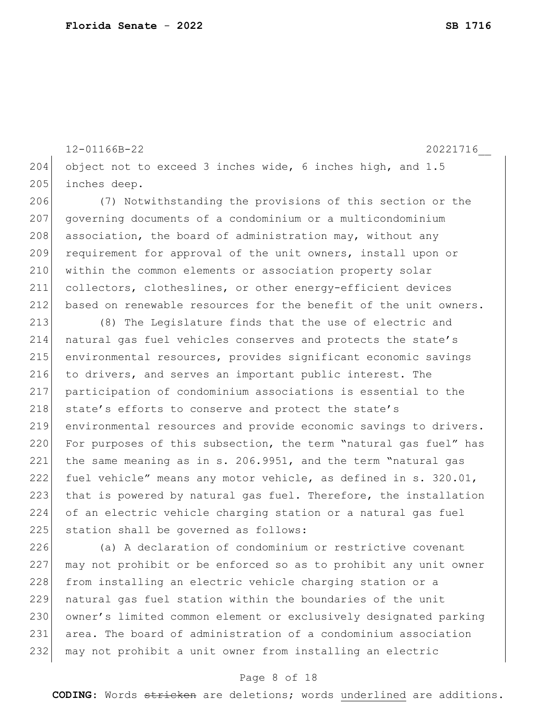12-01166B-22 20221716\_\_ 204 object not to exceed 3 inches wide, 6 inches high, and  $1.5$ 205 inches deep. 206 (7) Notwithstanding the provisions of this section or the 207 governing documents of a condominium or a multicondominium

208 association, the board of administration may, without any 209 requirement for approval of the unit owners, install upon or 210 within the common elements or association property solar 211 collectors, clotheslines, or other energy-efficient devices 212 based on renewable resources for the benefit of the unit owners.

 (8) The Legislature finds that the use of electric and natural gas fuel vehicles conserves and protects the state's environmental resources, provides significant economic savings 216 to drivers, and serves an important public interest. The participation of condominium associations is essential to the 218 state's efforts to conserve and protect the state's environmental resources and provide economic savings to drivers. 220 For purposes of this subsection, the term "natural gas fuel" has the same meaning as in s. 206.9951, and the term "natural gas fuel vehicle" means any motor vehicle, as defined in s. 320.01, 223 that is powered by natural gas fuel. Therefore, the installation of an electric vehicle charging station or a natural gas fuel 225 station shall be governed as follows:

 (a) A declaration of condominium or restrictive covenant may not prohibit or be enforced so as to prohibit any unit owner 228 from installing an electric vehicle charging station or a natural gas fuel station within the boundaries of the unit 230 owner's limited common element or exclusively designated parking area. The board of administration of a condominium association may not prohibit a unit owner from installing an electric

### Page 8 of 18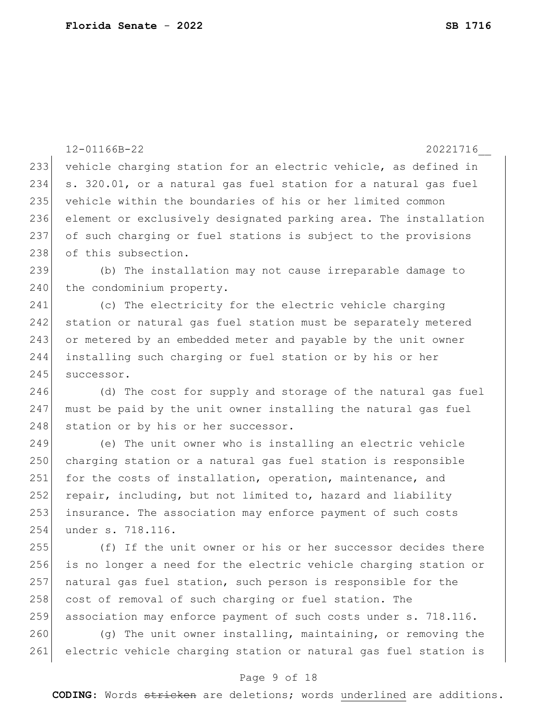|     | 12-01166B-22<br>20221716                                         |
|-----|------------------------------------------------------------------|
| 233 | vehicle charging station for an electric vehicle, as defined in  |
| 234 | s. 320.01, or a natural gas fuel station for a natural gas fuel  |
| 235 | vehicle within the boundaries of his or her limited common       |
| 236 | element or exclusively designated parking area. The installation |
| 237 | of such charging or fuel stations is subject to the provisions   |
| 238 | of this subsection.                                              |
| 239 | (b) The installation may not cause irreparable damage to         |
| 240 | the condominium property.                                        |
| 241 | (c) The electricity for the electric vehicle charging            |
| 242 | station or natural gas fuel station must be separately metered   |
| 243 | or metered by an embedded meter and payable by the unit owner    |
| 244 | installing such charging or fuel station or by his or her        |
| 245 | successor.                                                       |
| 246 | (d) The cost for supply and storage of the natural gas fuel      |
| 247 | must be paid by the unit owner installing the natural gas fuel   |
| 248 | station or by his or her successor.                              |
| 249 | (e) The unit owner who is installing an electric vehicle         |
| 250 | charging station or a natural gas fuel station is responsible    |
| 251 | for the costs of installation, operation, maintenance, and       |
| 252 | repair, including, but not limited to, hazard and liability      |
| 253 | insurance. The association may enforce payment of such costs     |
| 254 | under s. 718.116.                                                |
| 255 | (f) If the unit owner or his or her successor decides there      |
| 256 | is no longer a need for the electric vehicle charging station or |
| 257 | natural gas fuel station, such person is responsible for the     |
| 258 | cost of removal of such charging or fuel station. The            |
| 259 | association may enforce payment of such costs under s. 718.116.  |
| 260 | (q) The unit owner installing, maintaining, or removing the      |
| 261 | electric vehicle charging station or natural gas fuel station is |

# Page 9 of 18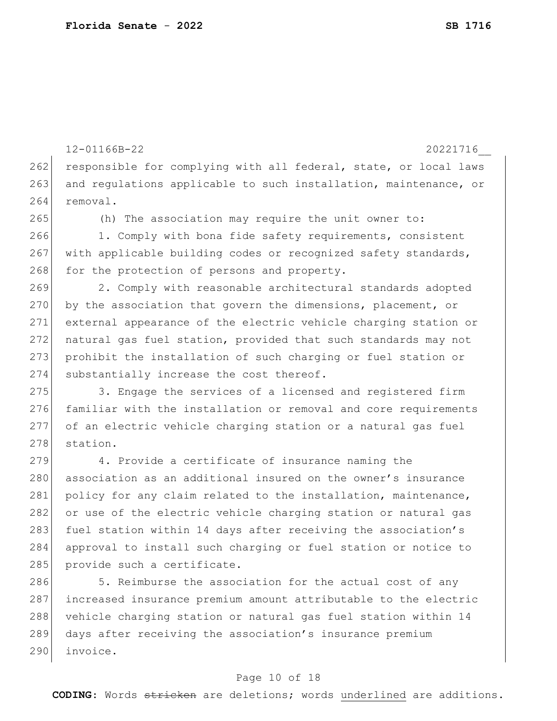262 responsible for complying with all federal, state, or local laws 263 and regulations applicable to such installation, maintenance, or 264 removal. 265 (h) The association may require the unit owner to: 266 1. Comply with bona fide safety requirements, consistent 267 with applicable building codes or recognized safety standards,  $268$  for the protection of persons and property. 269 2. Comply with reasonable architectural standards adopted 270 by the association that govern the dimensions, placement, or 271 external appearance of the electric vehicle charging station or 272 natural gas fuel station, provided that such standards may not 273 prohibit the installation of such charging or fuel station or 274 substantially increase the cost thereof. 275 3. Engage the services of a licensed and registered firm 276 familiar with the installation or removal and core requirements 277 of an electric vehicle charging station or a natural gas fuel 278 station. 279 4. Provide a certificate of insurance naming the 280 association as an additional insured on the owner's insurance 281 policy for any claim related to the installation, maintenance, 282 or use of the electric vehicle charging station or natural gas 283 fuel station within 14 days after receiving the association's 284 approval to install such charging or fuel station or notice to 285 provide such a certificate.

12-01166B-22 20221716\_\_

286 5. Reimburse the association for the actual cost of any 287 increased insurance premium amount attributable to the electric 288 vehicle charging station or natural gas fuel station within 14 289 days after receiving the association's insurance premium 290 invoice.

### Page 10 of 18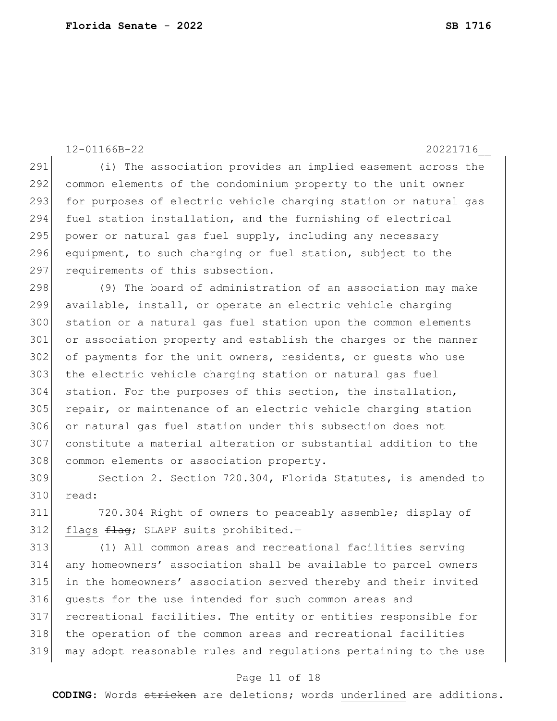12-01166B-22 20221716\_\_ (i) The association provides an implied easement across the common elements of the condominium property to the unit owner 293 for purposes of electric vehicle charging station or natural gas fuel station installation, and the furnishing of electrical power or natural gas fuel supply, including any necessary equipment, to such charging or fuel station, subject to the 297 requirements of this subsection. (9) The board of administration of an association may make available, install, or operate an electric vehicle charging station or a natural gas fuel station upon the common elements 301 or association property and establish the charges or the manner 302 of payments for the unit owners, residents, or quests who use 303 the electric vehicle charging station or natural gas fuel station. For the purposes of this section, the installation, 305 repair, or maintenance of an electric vehicle charging station or natural gas fuel station under this subsection does not constitute a material alteration or substantial addition to the

308 common elements or association property. Section 2. Section 720.304, Florida Statutes, is amended to

read:

 720.304 Right of owners to peaceably assemble; display of flags  $f$ lag; SLAPP suits prohibited.-

 (1) All common areas and recreational facilities serving any homeowners' association shall be available to parcel owners in the homeowners' association served thereby and their invited guests for the use intended for such common areas and recreational facilities. The entity or entities responsible for the operation of the common areas and recreational facilities may adopt reasonable rules and regulations pertaining to the use

#### Page 11 of 18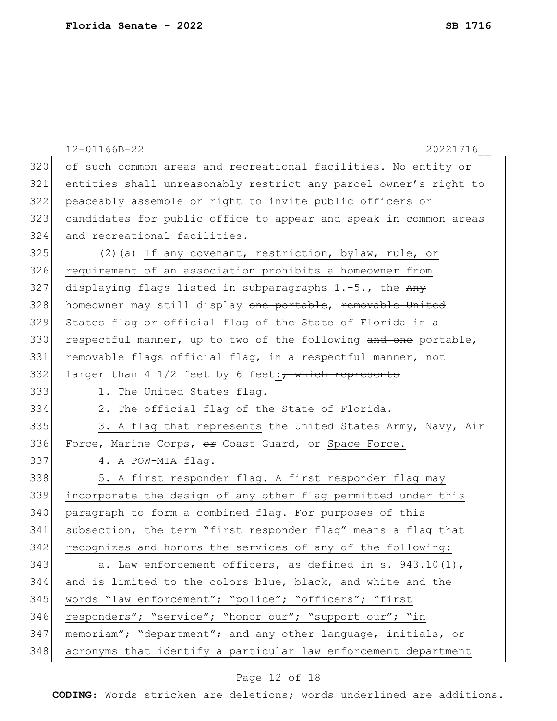|     | 12-01166B-22<br>20221716                                           |
|-----|--------------------------------------------------------------------|
| 320 | of such common areas and recreational facilities. No entity or     |
| 321 | entities shall unreasonably restrict any parcel owner's right to   |
| 322 | peaceably assemble or right to invite public officers or           |
| 323 | candidates for public office to appear and speak in common areas   |
| 324 | and recreational facilities.                                       |
| 325 | (2) (a) If any covenant, restriction, bylaw, rule, or              |
| 326 | requirement of an association prohibits a homeowner from           |
| 327 | displaying flags listed in subparagraphs 1.-5., the Any            |
| 328 | homeowner may still display one portable, removable United         |
| 329 | States flag or official flag of the State of Florida in a          |
| 330 | respectful manner, up to two of the following and one portable,    |
| 331 | removable flags official flag, in a respectful manner, not         |
| 332 | larger than 4 $1/2$ feet by 6 feet: $\frac{1}{1}$ which represents |
| 333 | 1. The United States flag.                                         |
| 334 | 2. The official flag of the State of Florida.                      |
| 335 | 3. A flag that represents the United States Army, Navy, Air        |
| 336 | Force, Marine Corps, or Coast Guard, or Space Force.               |
| 337 | 4. A POW-MIA flag.                                                 |
| 338 | 5. A first responder flag. A first responder flag may              |
| 339 | incorporate the design of any other flag permitted under this      |
| 340 | paragraph to form a combined flag. For purposes of this            |
| 341 | subsection, the term "first responder flag" means a flag that      |
| 342 | recognizes and honors the services of any of the following:        |
| 343 | a. Law enforcement officers, as defined in s. 943.10(1),           |
| 344 | and is limited to the colors blue, black, and white and the        |
| 345 | words "law enforcement"; "police"; "officers"; "first              |
| 346 | responders"; "service"; "honor our"; "support our"; "in            |
| 347 | memoriam"; "department"; and any other language, initials, or      |
| 348 | acronyms that identify a particular law enforcement department     |

# Page 12 of 18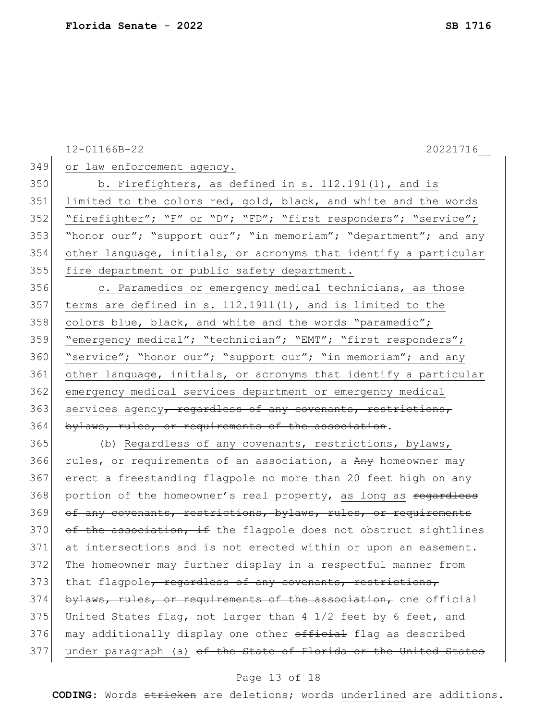12-01166B-22 20221716\_\_ 349 or law enforcement agency. 350 b. Firefighters, as defined in s. 112.191(1), and is 351 limited to the colors red, gold, black, and white and the words 352 "firefighter"; "F" or "D"; "FD"; "first responders"; "service"; 353 "honor our"; "support our"; "in memoriam"; "department"; and any 354 other language, initials, or acronyms that identify a particular 355 fire department or public safety department. 356 c. Paramedics or emergency medical technicians, as those 357 terms are defined in s.  $112.1911(1)$ , and is limited to the 358 colors blue, black, and white and the words "paramedic"; 359 "emergency medical"; "technician"; "EMT"; "first responders"; 360 "service"; "honor our"; "support our"; "in memoriam"; and any 361 other language, initials, or acronyms that identify a particular 362 emergency medical services department or emergency medical 363 services agency<del>, regardless of any covenants, restrictions,</del> 364 bylaws, rules, or requirements of the association. 365 (b) Regardless of any covenants, restrictions, bylaws, 366 rules, or requirements of an association, a Any homeowner may 367 erect a freestanding flagpole no more than 20 feet high on any 368 portion of the homeowner's real property, as long as regardless 369 of any covenants, restrictions, bylaws, rules, or requirements  $370$  of the association, if the flagpole does not obstruct sightlines 371 at intersections and is not erected within or upon an easement. 372 The homeowner may further display in a respectful manner from 373 that flagpole, regardless of any covenants, restrictions, 374 bylaws, rules, or requirements of the association, one official 375 United States flag, not larger than 4 1/2 feet by 6 feet, and 376 may additionally display one other official flag as described 377 under paragraph (a) of the State of Florida or the United States

#### Page 13 of 18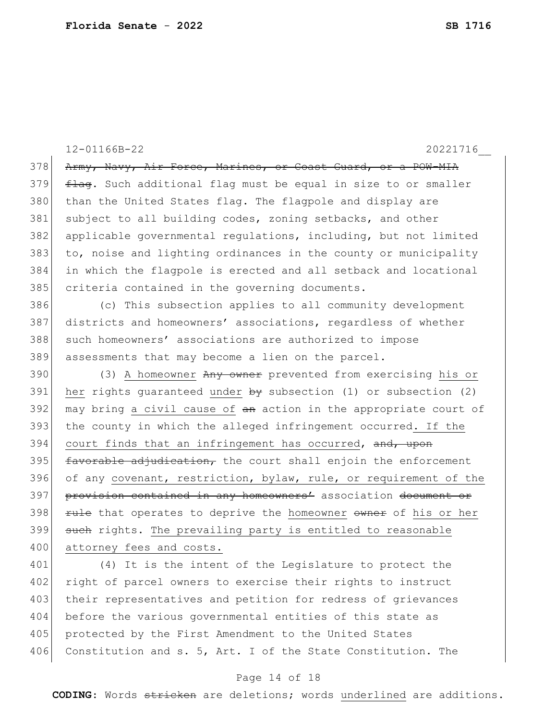12-01166B-22 20221716\_\_ 378 Army, Navy, Air Force, Marines, or Coast Guard, or a POW-MIA  $379$   $\pm 1$   $\pm 4$   $\pm 6$ . Such additional flag must be equal in size to or smaller 380 than the United States flag. The flagpole and display are 381 subject to all building codes, zoning setbacks, and other 382 applicable governmental regulations, including, but not limited 383 to, noise and lighting ordinances in the county or municipality 384 in which the flagpole is erected and all setback and locational 385 criteria contained in the governing documents. 386 (c) This subsection applies to all community development 387 districts and homeowners' associations, regardless of whether 388 such homeowners' associations are authorized to impose 389 assessments that may become a lien on the parcel. 390 (3) A homeowner Any owner prevented from exercising his or 391 her rights guaranteed under  $\frac{1}{2}$  subsection (1) or subsection (2)  $392$  may bring a civil cause of  $an$  action in the appropriate court of 393 the county in which the alleged infringement occurred. If the 394 court finds that an infringement has occurred, and, upon  $395$  favorable adjudication, the court shall enjoin the enforcement 396 of any covenant, restriction, bylaw, rule, or requirement of the 397 provision contained in any homeowners' association document or 398 Fule that operates to deprive the homeowner owner of his or her 399 such rights. The prevailing party is entitled to reasonable 400 attorney fees and costs. 401 (4) It is the intent of the Legislature to protect the 402 right of parcel owners to exercise their rights to instruct 403 their representatives and petition for redress of grievances 404 before the various governmental entities of this state as

405 protected by the First Amendment to the United States 406 Constitution and s. 5, Art. I of the State Constitution. The

### Page 14 of 18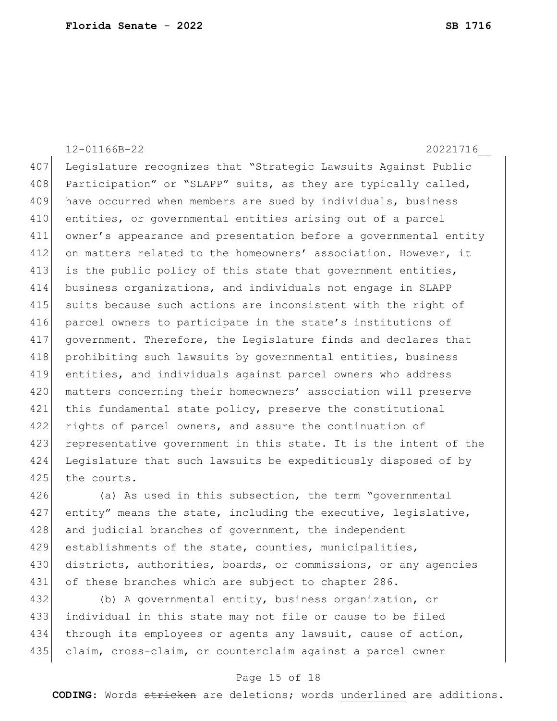12-01166B-22 20221716\_\_ 407 Legislature recognizes that "Strategic Lawsuits Against Public 408 Participation" or "SLAPP" suits, as they are typically called, 409 have occurred when members are sued by individuals, business 410 entities, or governmental entities arising out of a parcel 411 owner's appearance and presentation before a governmental entity 412 on matters related to the homeowners' association. However, it 413 is the public policy of this state that government entities, 414 business organizations, and individuals not engage in SLAPP 415 suits because such actions are inconsistent with the right of 416 parcel owners to participate in the state's institutions of 417 government. Therefore, the Legislature finds and declares that 418 prohibiting such lawsuits by governmental entities, business 419 entities, and individuals against parcel owners who address 420 matters concerning their homeowners' association will preserve 421 this fundamental state policy, preserve the constitutional 422 rights of parcel owners, and assure the continuation of 423 representative government in this state. It is the intent of the 424 Legislature that such lawsuits be expeditiously disposed of by 425 the courts.

426 (a) As used in this subsection, the term "governmental  $427$  entity" means the state, including the executive, legislative, 428 and judicial branches of government, the independent 429 establishments of the state, counties, municipalities, 430 districts, authorities, boards, or commissions, or any agencies 431 of these branches which are subject to chapter 286.

 (b) A governmental entity, business organization, or individual in this state may not file or cause to be filed through its employees or agents any lawsuit, cause of action, 435 claim, cross-claim, or counterclaim against a parcel owner

### Page 15 of 18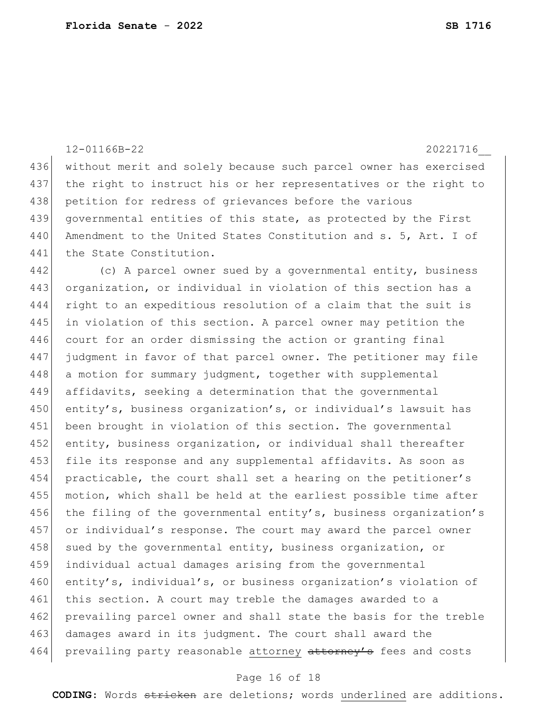|     | 12-01166B-22<br>20221716                                         |
|-----|------------------------------------------------------------------|
| 436 | without merit and solely because such parcel owner has exercised |
| 437 | the right to instruct his or her representatives or the right to |
| 438 | petition for redress of grievances before the various            |
| 439 | governmental entities of this state, as protected by the First   |
| 440 | Amendment to the United States Constitution and s. 5, Art. I of  |
| 441 | the State Constitution.                                          |
| 442 | (c) A parcel owner sued by a governmental entity, business       |
| 443 | organization, or individual in violation of this section has a   |
| 444 | right to an expeditious resolution of a claim that the suit is   |
| 445 | in violation of this section. A parcel owner may petition the    |
| 446 | court for an order dismissing the action or granting final       |
| 447 | judgment in favor of that parcel owner. The petitioner may file  |
| 448 | a motion for summary judgment, together with supplemental        |
| 449 | affidavits, seeking a determination that the governmental        |
| 450 | entity's, business organization's, or individual's lawsuit has   |
| 451 | been brought in violation of this section. The governmental      |
| 452 | entity, business organization, or individual shall thereafter    |
| 453 | file its response and any supplemental affidavits. As soon as    |
| 454 | practicable, the court shall set a hearing on the petitioner's   |
| 455 | motion, which shall be held at the earliest possible time after  |
| 456 | the filing of the governmental entity's, business organization's |
| 457 | or individual's response. The court may award the parcel owner   |
| 458 | sued by the governmental entity, business organization, or       |
| 459 | individual actual damages arising from the governmental          |
| 460 | entity's, individual's, or business organization's violation of  |
| 461 | this section. A court may treble the damages awarded to a        |
| 462 | prevailing parcel owner and shall state the basis for the treble |
| 463 | damages award in its judgment. The court shall award the         |
| 464 | prevailing party reasonable attorney attorney's fees and costs   |

# Page 16 of 18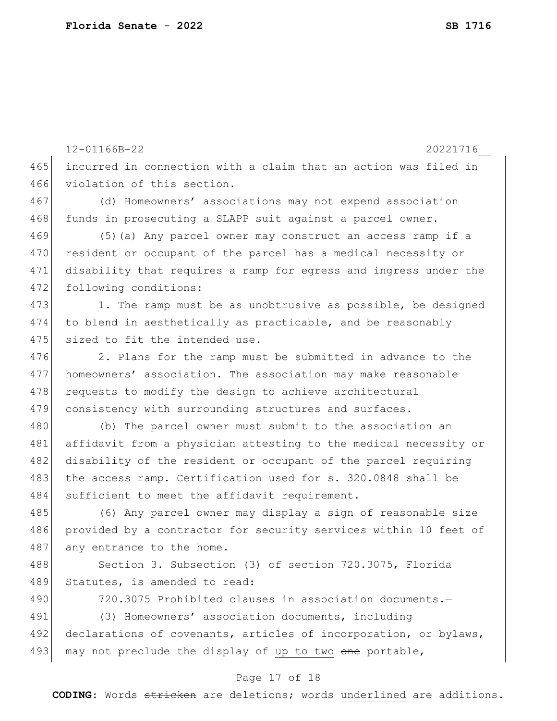12-01166B-22 20221716\_\_ 465 incurred in connection with a claim that an action was filed in 466 violation of this section. 467 (d) Homeowners' associations may not expend association 468 funds in prosecuting a SLAPP suit against a parcel owner. 469 (5)(a) Any parcel owner may construct an access ramp if a 470 resident or occupant of the parcel has a medical necessity or 471 disability that requires a ramp for egress and ingress under the 472 following conditions:  $473$  1. The ramp must be as unobtrusive as possible, be designed 474 to blend in aesthetically as practicable, and be reasonably 475 sized to fit the intended use. 476 2. Plans for the ramp must be submitted in advance to the 477 homeowners' association. The association may make reasonable 478 requests to modify the design to achieve architectural 479 consistency with surrounding structures and surfaces. 480 (b) The parcel owner must submit to the association an 481 affidavit from a physician attesting to the medical necessity or 482 disability of the resident or occupant of the parcel requiring 483 the access ramp. Certification used for s. 320.0848 shall be 484 sufficient to meet the affidavit requirement. 485 (6) Any parcel owner may display a sign of reasonable size 486 provided by a contractor for security services within 10 feet of 487 any entrance to the home. 488 Section 3. Subsection (3) of section 720.3075, Florida 489 Statutes, is amended to read: 490 720.3075 Prohibited clauses in association documents.-491 (3) Homeowners' association documents, including 492 declarations of covenants, articles of incorporation, or bylaws, 493 may not preclude the display of up to two one portable,

#### Page 17 of 18